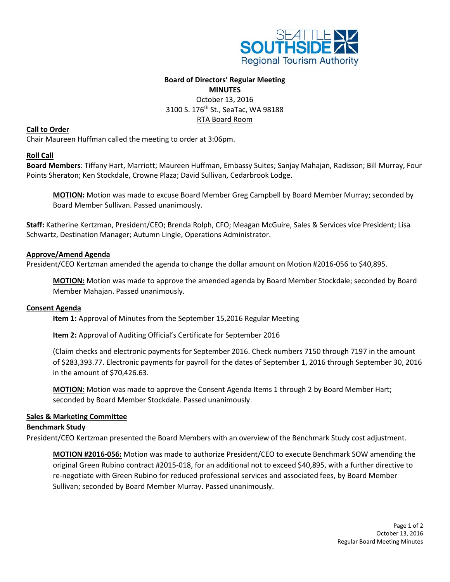

# **Board of Directors' Regular Meeting**

# **MINUTES** October 13, 2016 3100 S. 176<sup>th</sup> St., SeaTac, WA 98188 RTA Board Room

## **Call to Order**

Chair Maureen Huffman called the meeting to order at 3:06pm.

# **Roll Call**

**Board Members**: Tiffany Hart, Marriott; Maureen Huffman, Embassy Suites; Sanjay Mahajan, Radisson; Bill Murray, Four Points Sheraton; Ken Stockdale, Crowne Plaza; David Sullivan, Cedarbrook Lodge.

**MOTION:** Motion was made to excuse Board Member Greg Campbell by Board Member Murray; seconded by Board Member Sullivan. Passed unanimously.

**Staff:** Katherine Kertzman, President/CEO; Brenda Rolph, CFO; Meagan McGuire, Sales & Services vice President; Lisa Schwartz, Destination Manager; Autumn Lingle, Operations Administrator.

# **Approve/Amend Agenda**

President/CEO Kertzman amended the agenda to change the dollar amount on Motion #2016-056 to \$40,895.

**MOTION:** Motion was made to approve the amended agenda by Board Member Stockdale; seconded by Board Member Mahajan. Passed unanimously.

# **Consent Agenda**

**Item 1:** Approval of Minutes from the September 15,2016 Regular Meeting

**Item 2:** Approval of Auditing Official's Certificate for September 2016

(Claim checks and electronic payments for September 2016. Check numbers 7150 through 7197 in the amount of \$283,393.77. Electronic payments for payroll for the dates of September 1, 2016 through September 30, 2016 in the amount of \$70,426.63.

**MOTION:** Motion was made to approve the Consent Agenda Items 1 through 2 by Board Member Hart; seconded by Board Member Stockdale. Passed unanimously.

### **Sales & Marketing Committee**

### **Benchmark Study**

President/CEO Kertzman presented the Board Members with an overview of the Benchmark Study cost adjustment.

**MOTION #2016-056:** Motion was made to authorize President/CEO to execute Benchmark SOW amending the original Green Rubino contract #2015-018, for an additional not to exceed \$40,895, with a further directive to re-negotiate with Green Rubino for reduced professional services and associated fees, by Board Member Sullivan; seconded by Board Member Murray. Passed unanimously.